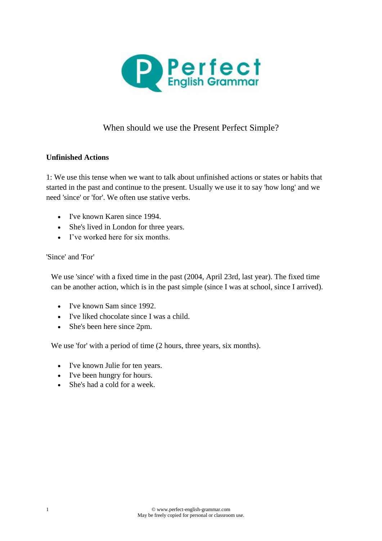

# When should we use the Present Perfect Simple?

#### **Unfinished Actions**

1: We use this tense when we want to talk about unfinished actions or states or habits that started in the past and continue to the present. Usually we use it to say 'how long' and we need 'since' or 'for'. We often use [stative verbs.](http://www.perfect-english-grammar.com/stative-verbs.html)

- I've known Karen since 1994.
- She's lived in London for three years.
- I've worked here for six months.

#### 'Since' and 'For'

We use 'since' with a fixed time in the past (2004, April 23rd, last year). The fixed time can be another action, which is in the [past simple](http://www.perfect-english-grammar.com/past-simple.html) (since I was at school, since I arrived).

- I've known Sam since 1992.
- I've liked chocolate since I was a child.
- She's been here since 2pm.

We use 'for' with a period of time (2 hours, three years, six months).

- I've known Julie for ten years.
- I've been hungry for hours.
- She's had a cold for a week.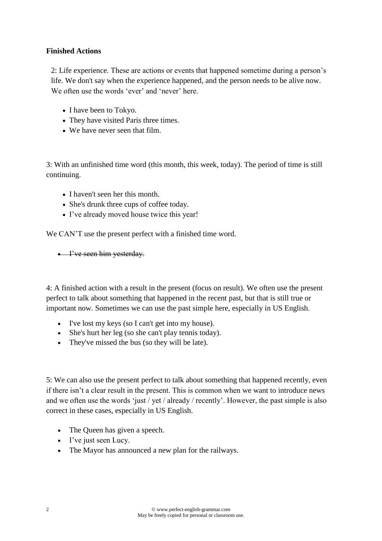## **Finished Actions**

2: Life experience. These are actions or events that happened sometime during a person's life. We don't say when the experience happened, and the person needs to be alive now. We often use the words 'ever' and 'never' here.

- I have been to Tokyo.
- They have visited Paris three times.
- We have never seen that film.

3: With an unfinished time word (this month, this week, today). The period of time is still continuing.

- I haven't seen her this month.
- She's drunk three cups of coffee today.
- I've already moved house twice this year!

We CAN'T use the present perfect with a finished time word.

• I've seen him yesterday.

4: A finished action with a result in the present (focus on result). We often use the present perfect to talk about something that happened in the recent past, but that is still true or important now. Sometimes we can use the past simple here, especially in US English.

- I've lost my keys (so I can't get into my house).
- She's hurt her leg (so she can't play tennis today).
- They've missed the bus (so they will be late).

5: We can also use the present perfect to talk about something that happened recently, even if there isn't a clear result in the present. This is common when we want to introduce news and we often use the words 'just / yet / already / recently'. However, the past simple is also correct in these cases, especially in US English.

- The Queen has given a speech.
- I've just seen Lucy.
- The Mayor has announced a new plan for the railways.